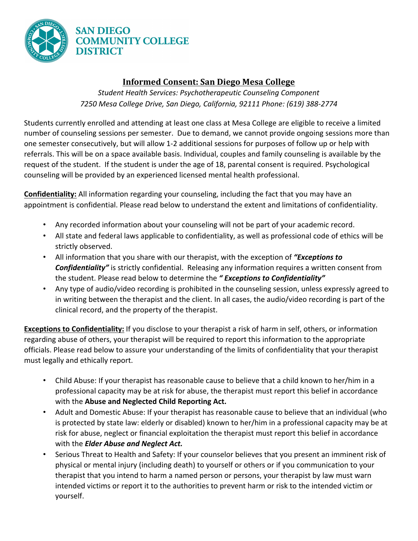

## **Informed Consent: San Diego Mesa College**

**Student Health Services: Psychotherapeutic Counseling Component** *7250 Mesa College Drive, San Diego, California, 92111 Phone: (619) 388-2774* 

Students currently enrolled and attending at least one class at Mesa College are eligible to receive a limited number of counseling sessions per semester. Due to demand, we cannot provide ongoing sessions more than one semester consecutively, but will allow 1-2 additional sessions for purposes of follow up or help with referrals. This will be on a space available basis. Individual, couples and family counseling is available by the request of the student. If the student is under the age of 18, parental consent is required. Psychological counseling will be provided by an experienced licensed mental health professional.

**Confidentiality:** All information regarding your counseling, including the fact that you may have an appointment is confidential. Please read below to understand the extent and limitations of confidentiality.

- Any recorded information about your counseling will not be part of your academic record.
- All state and federal laws applicable to confidentiality, as well as professional code of ethics will be strictly observed.
- All information that you share with our therapist, with the exception of *"Exceptions to* **Confidentiality"** is strictly confidential. Releasing any information requires a written consent from the student. Please read below to determine the " Exceptions to Confidentiality"
- Any type of audio/video recording is prohibited in the counseling session, unless expressly agreed to in writing between the therapist and the client. In all cases, the audio/video recording is part of the clinical record, and the property of the therapist.

**Exceptions to Confidentiality:** If you disclose to your therapist a risk of harm in self, others, or information regarding abuse of others, your therapist will be required to report this information to the appropriate officials. Please read below to assure your understanding of the limits of confidentiality that your therapist must legally and ethically report.

- Child Abuse: If your therapist has reasonable cause to believe that a child known to her/him in a professional capacity may be at risk for abuse, the therapist must report this belief in accordance with the Abuse and Neglected Child Reporting Act.
- Adult and Domestic Abuse: If your therapist has reasonable cause to believe that an individual (who is protected by state law: elderly or disabled) known to her/him in a professional capacity may be at risk for abuse, neglect or financial exploitation the therapist must report this belief in accordance with the *Elder Abuse and Neglect Act.*
- Serious Threat to Health and Safety: If your counselor believes that you present an imminent risk of physical or mental injury (including death) to yourself or others or if you communication to your therapist that you intend to harm a named person or persons, your therapist by law must warn intended victims or report it to the authorities to prevent harm or risk to the intended victim or yourself.